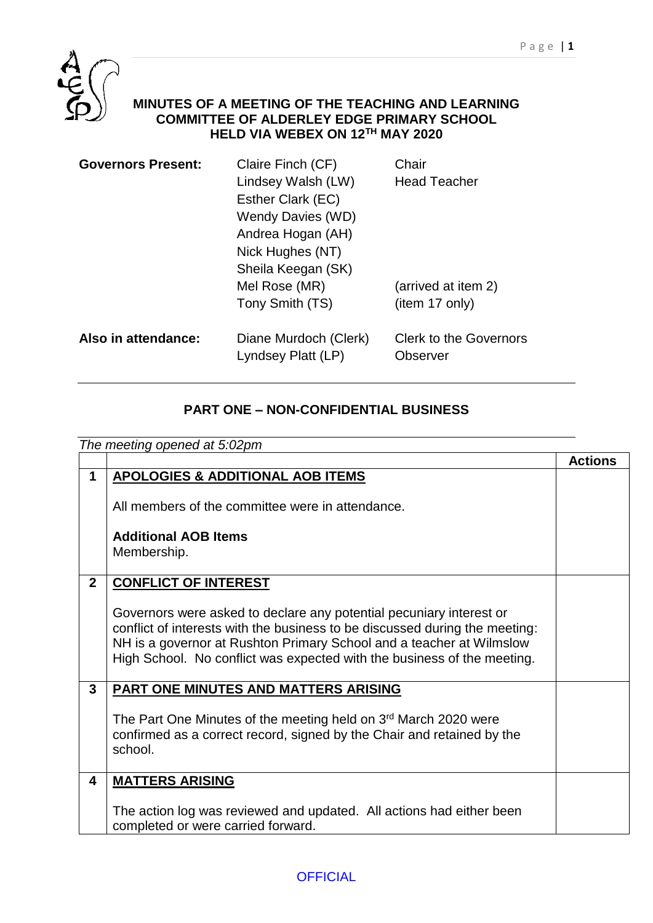

## **MINUTES OF A MEETING OF THE TEACHING AND LEARNING COMMITTEE OF ALDERLEY EDGE PRIMARY SCHOOL HELD VIA WEBEX ON 12TH MAY 2020**

| <b>Governors Present:</b> | Claire Finch (CF)                           | Chair                                     |
|---------------------------|---------------------------------------------|-------------------------------------------|
|                           | Lindsey Walsh (LW)                          | <b>Head Teacher</b>                       |
|                           | Esther Clark (EC)                           |                                           |
|                           | Wendy Davies (WD)                           |                                           |
|                           | Andrea Hogan (AH)                           |                                           |
|                           | Nick Hughes (NT)                            |                                           |
|                           | Sheila Keegan (SK)                          |                                           |
|                           | Mel Rose (MR)                               | (arrived at item 2)                       |
|                           | Tony Smith (TS)                             | (item 17 only)                            |
| Also in attendance:       | Diane Murdoch (Clerk)<br>Lyndsey Platt (LP) | <b>Clerk to the Governors</b><br>Observer |
|                           |                                             |                                           |

## **PART ONE – NON-CONFIDENTIAL BUSINESS**

| The meeting opened at 5:02pm |                                                                                   |                |
|------------------------------|-----------------------------------------------------------------------------------|----------------|
|                              |                                                                                   | <b>Actions</b> |
| $\mathbf 1$                  | <b>APOLOGIES &amp; ADDITIONAL AOB ITEMS</b>                                       |                |
|                              | All members of the committee were in attendance.                                  |                |
|                              | <b>Additional AOB Items</b>                                                       |                |
|                              | Membership.                                                                       |                |
|                              |                                                                                   |                |
| $\overline{2}$               | <b>CONFLICT OF INTEREST</b>                                                       |                |
|                              |                                                                                   |                |
|                              | Governors were asked to declare any potential pecuniary interest or               |                |
|                              | conflict of interests with the business to be discussed during the meeting:       |                |
|                              | NH is a governor at Rushton Primary School and a teacher at Wilmslow              |                |
|                              | High School. No conflict was expected with the business of the meeting.           |                |
|                              |                                                                                   |                |
| 3                            | PART ONE MINUTES AND MATTERS ARISING                                              |                |
|                              |                                                                                   |                |
|                              | The Part One Minutes of the meeting held on 3 <sup>rd</sup> March 2020 were       |                |
|                              | confirmed as a correct record, signed by the Chair and retained by the<br>school. |                |
|                              |                                                                                   |                |
| 4                            | <b>MATTERS ARISING</b>                                                            |                |
|                              |                                                                                   |                |
|                              | The action log was reviewed and updated. All actions had either been              |                |
|                              | completed or were carried forward.                                                |                |
|                              |                                                                                   |                |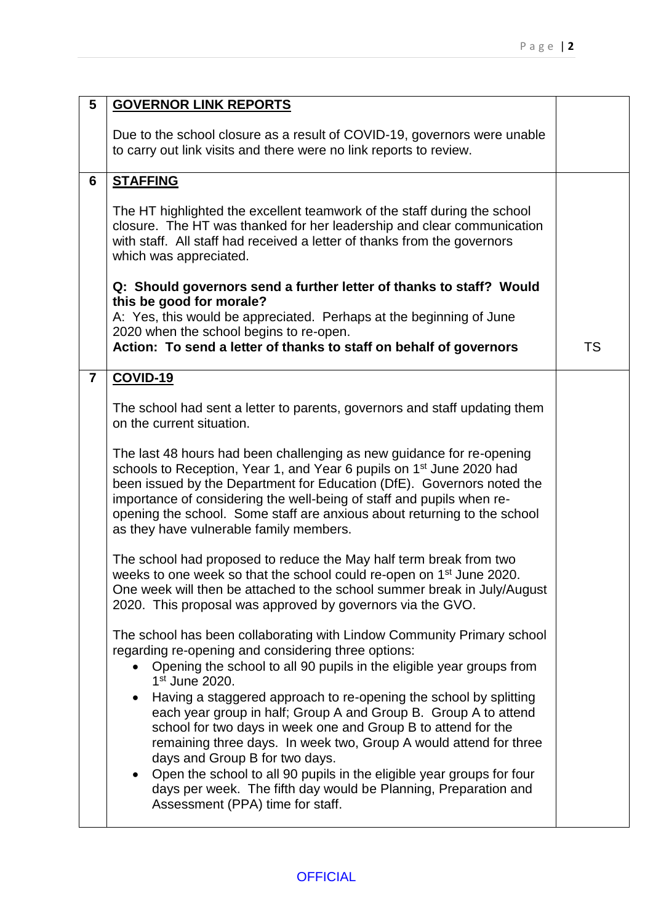| 5              | <b>GOVERNOR LINK REPORTS</b>                                                                                                                                                                                                                                                                                                                                                                                                                                                                                                   |           |
|----------------|--------------------------------------------------------------------------------------------------------------------------------------------------------------------------------------------------------------------------------------------------------------------------------------------------------------------------------------------------------------------------------------------------------------------------------------------------------------------------------------------------------------------------------|-----------|
|                | Due to the school closure as a result of COVID-19, governors were unable<br>to carry out link visits and there were no link reports to review.                                                                                                                                                                                                                                                                                                                                                                                 |           |
| 6              | <b>STAFFING</b>                                                                                                                                                                                                                                                                                                                                                                                                                                                                                                                |           |
|                | The HT highlighted the excellent teamwork of the staff during the school<br>closure. The HT was thanked for her leadership and clear communication<br>with staff. All staff had received a letter of thanks from the governors<br>which was appreciated.                                                                                                                                                                                                                                                                       |           |
|                | Q: Should governors send a further letter of thanks to staff? Would<br>this be good for morale?<br>A: Yes, this would be appreciated. Perhaps at the beginning of June<br>2020 when the school begins to re-open.                                                                                                                                                                                                                                                                                                              |           |
|                | Action: To send a letter of thanks to staff on behalf of governors                                                                                                                                                                                                                                                                                                                                                                                                                                                             | <b>TS</b> |
| $\overline{7}$ | <b>COVID-19</b>                                                                                                                                                                                                                                                                                                                                                                                                                                                                                                                |           |
|                | The school had sent a letter to parents, governors and staff updating them<br>on the current situation.                                                                                                                                                                                                                                                                                                                                                                                                                        |           |
|                | The last 48 hours had been challenging as new guidance for re-opening<br>schools to Reception, Year 1, and Year 6 pupils on 1 <sup>st</sup> June 2020 had<br>been issued by the Department for Education (DfE). Governors noted the<br>importance of considering the well-being of staff and pupils when re-<br>opening the school. Some staff are anxious about returning to the school<br>as they have vulnerable family members.                                                                                            |           |
|                | The school had proposed to reduce the May half term break from two<br>weeks to one week so that the school could re-open on 1 <sup>st</sup> June 2020.<br>One week will then be attached to the school summer break in July/August<br>2020. This proposal was approved by governors via the GVO.                                                                                                                                                                                                                               |           |
|                | The school has been collaborating with Lindow Community Primary school<br>regarding re-opening and considering three options:<br>Opening the school to all 90 pupils in the eligible year groups from<br>1 <sup>st</sup> June 2020.<br>Having a staggered approach to re-opening the school by splitting<br>$\bullet$<br>each year group in half; Group A and Group B. Group A to attend<br>school for two days in week one and Group B to attend for the<br>remaining three days. In week two, Group A would attend for three |           |
|                | days and Group B for two days.<br>Open the school to all 90 pupils in the eligible year groups for four<br>days per week. The fifth day would be Planning, Preparation and<br>Assessment (PPA) time for staff.                                                                                                                                                                                                                                                                                                                 |           |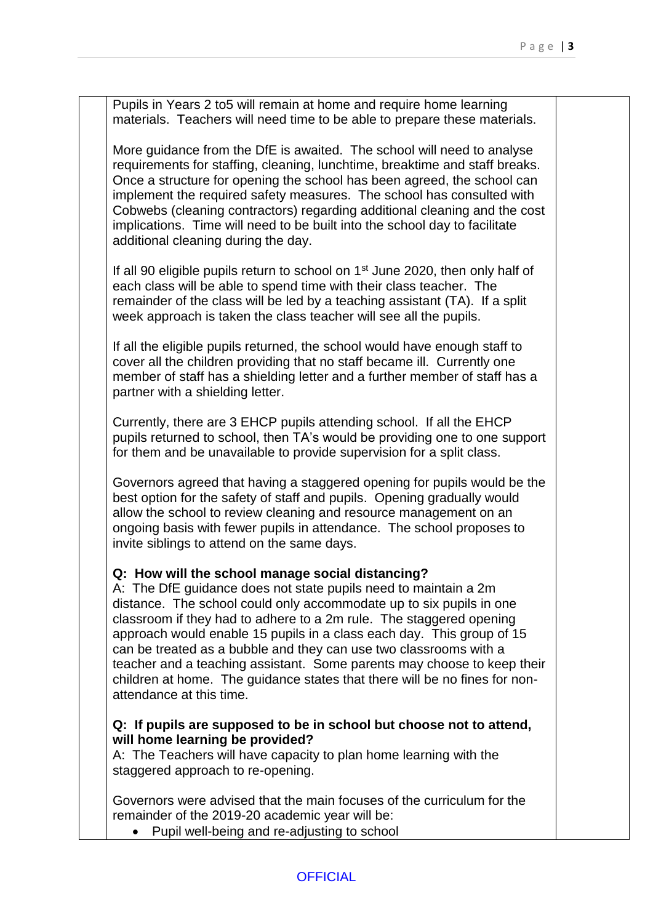Pupils in Years 2 to5 will remain at home and require home learning materials. Teachers will need time to be able to prepare these materials.

More guidance from the DfE is awaited. The school will need to analyse requirements for staffing, cleaning, lunchtime, breaktime and staff breaks. Once a structure for opening the school has been agreed, the school can implement the required safety measures. The school has consulted with Cobwebs (cleaning contractors) regarding additional cleaning and the cost implications. Time will need to be built into the school day to facilitate additional cleaning during the day.

If all 90 eligible pupils return to school on 1<sup>st</sup> June 2020, then only half of each class will be able to spend time with their class teacher. The remainder of the class will be led by a teaching assistant (TA). If a split week approach is taken the class teacher will see all the pupils.

If all the eligible pupils returned, the school would have enough staff to cover all the children providing that no staff became ill. Currently one member of staff has a shielding letter and a further member of staff has a partner with a shielding letter.

Currently, there are 3 EHCP pupils attending school. If all the EHCP pupils returned to school, then TA's would be providing one to one support for them and be unavailable to provide supervision for a split class.

Governors agreed that having a staggered opening for pupils would be the best option for the safety of staff and pupils. Opening gradually would allow the school to review cleaning and resource management on an ongoing basis with fewer pupils in attendance. The school proposes to invite siblings to attend on the same days.

## **Q: How will the school manage social distancing?**

A: The DfE guidance does not state pupils need to maintain a 2m distance. The school could only accommodate up to six pupils in one classroom if they had to adhere to a 2m rule. The staggered opening approach would enable 15 pupils in a class each day. This group of 15 can be treated as a bubble and they can use two classrooms with a teacher and a teaching assistant. Some parents may choose to keep their children at home. The guidance states that there will be no fines for nonattendance at this time.

## **Q: If pupils are supposed to be in school but choose not to attend, will home learning be provided?**

A: The Teachers will have capacity to plan home learning with the staggered approach to re-opening.

Governors were advised that the main focuses of the curriculum for the remainder of the 2019-20 academic year will be:

• Pupil well-being and re-adjusting to school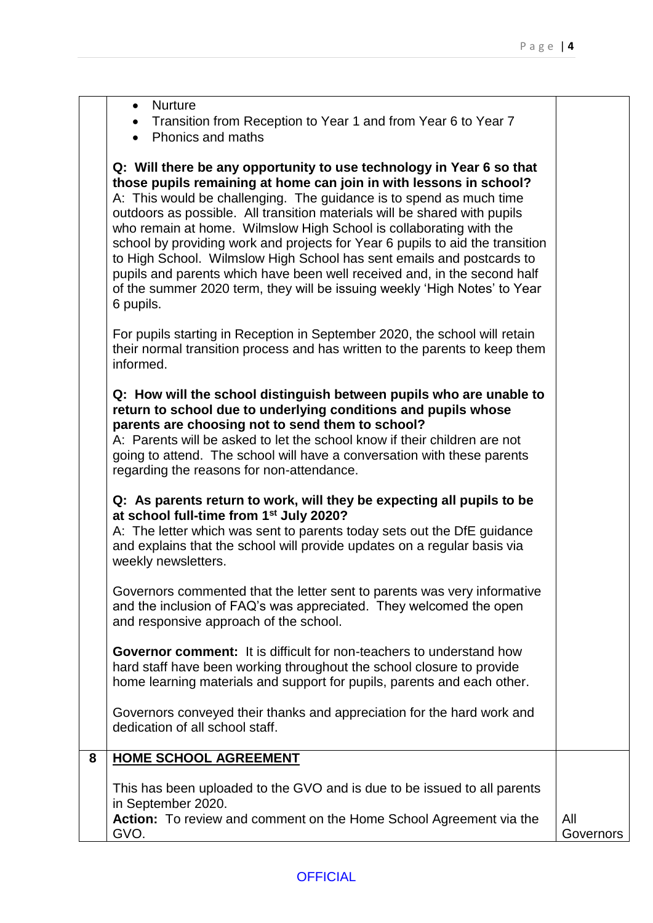|   | • Transition from Reception to Year 1 and from Year 6 to Year 7<br>• Phonics and maths                                                                                                                                                                                                                                                                                                                                                                                                                                                                                                                                                                                                               |                  |
|---|------------------------------------------------------------------------------------------------------------------------------------------------------------------------------------------------------------------------------------------------------------------------------------------------------------------------------------------------------------------------------------------------------------------------------------------------------------------------------------------------------------------------------------------------------------------------------------------------------------------------------------------------------------------------------------------------------|------------------|
|   | Q: Will there be any opportunity to use technology in Year 6 so that<br>those pupils remaining at home can join in with lessons in school?<br>A: This would be challenging. The guidance is to spend as much time<br>outdoors as possible. All transition materials will be shared with pupils<br>who remain at home. Wilmslow High School is collaborating with the<br>school by providing work and projects for Year 6 pupils to aid the transition<br>to High School. Wilmslow High School has sent emails and postcards to<br>pupils and parents which have been well received and, in the second half<br>of the summer 2020 term, they will be issuing weekly 'High Notes' to Year<br>6 pupils. |                  |
|   | For pupils starting in Reception in September 2020, the school will retain<br>their normal transition process and has written to the parents to keep them<br>informed.                                                                                                                                                                                                                                                                                                                                                                                                                                                                                                                               |                  |
|   | Q: How will the school distinguish between pupils who are unable to<br>return to school due to underlying conditions and pupils whose<br>parents are choosing not to send them to school?<br>A: Parents will be asked to let the school know if their children are not<br>going to attend. The school will have a conversation with these parents<br>regarding the reasons for non-attendance.                                                                                                                                                                                                                                                                                                       |                  |
|   | Q: As parents return to work, will they be expecting all pupils to be<br>at school full-time from 1 <sup>st</sup> July 2020?<br>A: The letter which was sent to parents today sets out the DfE guidance<br>and explains that the school will provide updates on a regular basis via<br>weekly newsletters.                                                                                                                                                                                                                                                                                                                                                                                           |                  |
|   | Governors commented that the letter sent to parents was very informative<br>and the inclusion of FAQ's was appreciated. They welcomed the open<br>and responsive approach of the school.                                                                                                                                                                                                                                                                                                                                                                                                                                                                                                             |                  |
|   | <b>Governor comment:</b> It is difficult for non-teachers to understand how<br>hard staff have been working throughout the school closure to provide<br>home learning materials and support for pupils, parents and each other.                                                                                                                                                                                                                                                                                                                                                                                                                                                                      |                  |
|   | Governors conveyed their thanks and appreciation for the hard work and<br>dedication of all school staff.                                                                                                                                                                                                                                                                                                                                                                                                                                                                                                                                                                                            |                  |
| 8 | <b>HOME SCHOOL AGREEMENT</b>                                                                                                                                                                                                                                                                                                                                                                                                                                                                                                                                                                                                                                                                         |                  |
|   | This has been uploaded to the GVO and is due to be issued to all parents<br>in September 2020.<br>Action: To review and comment on the Home School Agreement via the<br>GVO.                                                                                                                                                                                                                                                                                                                                                                                                                                                                                                                         | All<br>Governors |
|   |                                                                                                                                                                                                                                                                                                                                                                                                                                                                                                                                                                                                                                                                                                      |                  |

• Nurture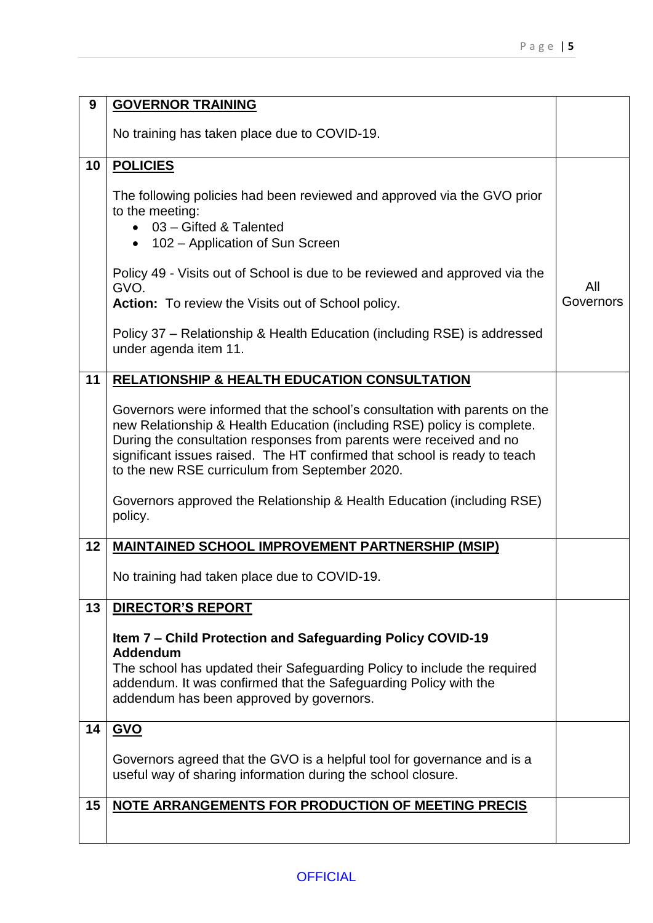| 9  | <b>GOVERNOR TRAINING</b>                                                                                                                                                                                                                                                                                                                                                                                                                         |                  |
|----|--------------------------------------------------------------------------------------------------------------------------------------------------------------------------------------------------------------------------------------------------------------------------------------------------------------------------------------------------------------------------------------------------------------------------------------------------|------------------|
|    | No training has taken place due to COVID-19.                                                                                                                                                                                                                                                                                                                                                                                                     |                  |
| 10 | <b>POLICIES</b>                                                                                                                                                                                                                                                                                                                                                                                                                                  |                  |
|    | The following policies had been reviewed and approved via the GVO prior<br>to the meeting:<br>• 03 - Gifted & Talented<br>• 102 – Application of Sun Screen                                                                                                                                                                                                                                                                                      |                  |
|    | Policy 49 - Visits out of School is due to be reviewed and approved via the<br>GVO.                                                                                                                                                                                                                                                                                                                                                              | All<br>Governors |
|    | <b>Action:</b> To review the Visits out of School policy.                                                                                                                                                                                                                                                                                                                                                                                        |                  |
|    | Policy 37 – Relationship & Health Education (including RSE) is addressed<br>under agenda item 11.                                                                                                                                                                                                                                                                                                                                                |                  |
| 11 | <b>RELATIONSHIP &amp; HEALTH EDUCATION CONSULTATION</b>                                                                                                                                                                                                                                                                                                                                                                                          |                  |
|    | Governors were informed that the school's consultation with parents on the<br>new Relationship & Health Education (including RSE) policy is complete.<br>During the consultation responses from parents were received and no<br>significant issues raised. The HT confirmed that school is ready to teach<br>to the new RSE curriculum from September 2020.<br>Governors approved the Relationship & Health Education (including RSE)<br>policy. |                  |
| 12 | <b>MAINTAINED SCHOOL IMPROVEMENT PARTNERSHIP (MSIP)</b>                                                                                                                                                                                                                                                                                                                                                                                          |                  |
|    | No training had taken place due to COVID-19.                                                                                                                                                                                                                                                                                                                                                                                                     |                  |
| 13 | <b>DIRECTOR'S REPORT</b>                                                                                                                                                                                                                                                                                                                                                                                                                         |                  |
|    | Item 7 – Child Protection and Safeguarding Policy COVID-19<br>Addendum<br>The school has updated their Safeguarding Policy to include the required<br>addendum. It was confirmed that the Safeguarding Policy with the<br>addendum has been approved by governors.                                                                                                                                                                               |                  |
| 14 | <b>GVO</b>                                                                                                                                                                                                                                                                                                                                                                                                                                       |                  |
|    | Governors agreed that the GVO is a helpful tool for governance and is a<br>useful way of sharing information during the school closure.                                                                                                                                                                                                                                                                                                          |                  |
| 15 | NOTE ARRANGEMENTS FOR PRODUCTION OF MEETING PRECIS                                                                                                                                                                                                                                                                                                                                                                                               |                  |
|    |                                                                                                                                                                                                                                                                                                                                                                                                                                                  |                  |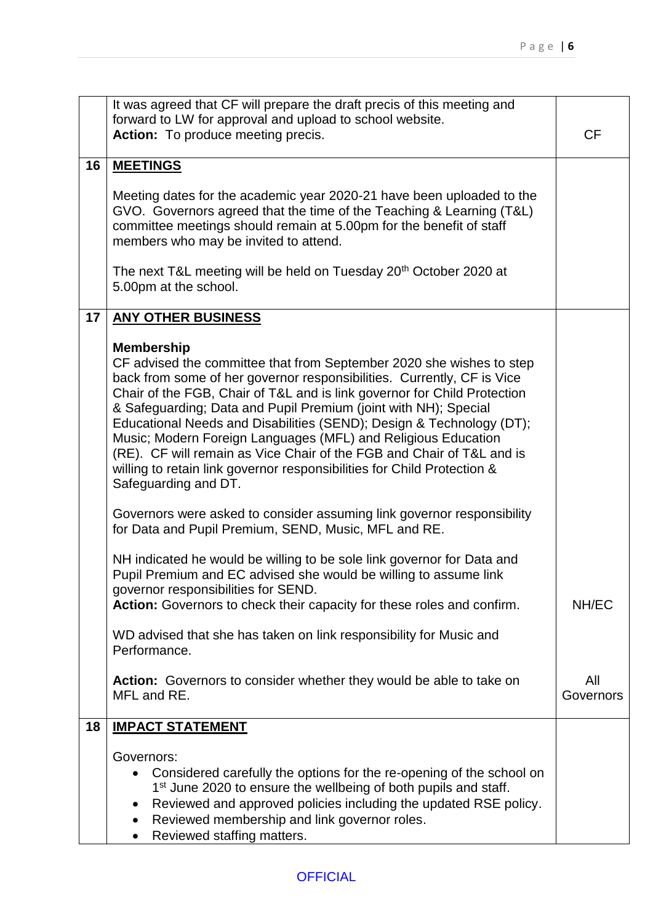|    | It was agreed that CF will prepare the draft precis of this meeting and                                                               |           |
|----|---------------------------------------------------------------------------------------------------------------------------------------|-----------|
|    | forward to LW for approval and upload to school website.                                                                              |           |
|    | Action: To produce meeting precis.                                                                                                    | <b>CF</b> |
|    |                                                                                                                                       |           |
| 16 | <b>MEETINGS</b>                                                                                                                       |           |
|    | Meeting dates for the academic year 2020-21 have been uploaded to the                                                                 |           |
|    | GVO. Governors agreed that the time of the Teaching & Learning (T&L)                                                                  |           |
|    | committee meetings should remain at 5.00pm for the benefit of staff                                                                   |           |
|    | members who may be invited to attend.                                                                                                 |           |
|    |                                                                                                                                       |           |
|    | The next T&L meeting will be held on Tuesday 20 <sup>th</sup> October 2020 at                                                         |           |
|    | 5.00pm at the school.                                                                                                                 |           |
| 17 | <b>ANY OTHER BUSINESS</b>                                                                                                             |           |
|    |                                                                                                                                       |           |
|    | <b>Membership</b>                                                                                                                     |           |
|    | CF advised the committee that from September 2020 she wishes to step                                                                  |           |
|    | back from some of her governor responsibilities. Currently, CF is Vice                                                                |           |
|    | Chair of the FGB, Chair of T&L and is link governor for Child Protection                                                              |           |
|    | & Safeguarding; Data and Pupil Premium (joint with NH); Special                                                                       |           |
|    | Educational Needs and Disabilities (SEND); Design & Technology (DT);<br>Music; Modern Foreign Languages (MFL) and Religious Education |           |
|    | (RE). CF will remain as Vice Chair of the FGB and Chair of T&L and is                                                                 |           |
|    | willing to retain link governor responsibilities for Child Protection &                                                               |           |
|    | Safeguarding and DT.                                                                                                                  |           |
|    |                                                                                                                                       |           |
|    | Governors were asked to consider assuming link governor responsibility                                                                |           |
|    | for Data and Pupil Premium, SEND, Music, MFL and RE.                                                                                  |           |
|    |                                                                                                                                       |           |
|    | NH indicated he would be willing to be sole link governor for Data and                                                                |           |
|    | Pupil Premium and EC advised she would be willing to assume link                                                                      |           |
|    | governor responsibilities for SEND.<br>Action: Governors to check their capacity for these roles and confirm.                         | NH/EC     |
|    |                                                                                                                                       |           |
|    | WD advised that she has taken on link responsibility for Music and                                                                    |           |
|    | Performance.                                                                                                                          |           |
|    |                                                                                                                                       |           |
|    | Action: Governors to consider whether they would be able to take on                                                                   | All       |
|    | MFL and RE.                                                                                                                           | Governors |
|    |                                                                                                                                       |           |
| 18 | <b>IMPACT STATEMENT</b>                                                                                                               |           |
|    | Governors:                                                                                                                            |           |
|    | Considered carefully the options for the re-opening of the school on                                                                  |           |
|    | 1 <sup>st</sup> June 2020 to ensure the wellbeing of both pupils and staff.                                                           |           |
|    | Reviewed and approved policies including the updated RSE policy.                                                                      |           |
|    | Reviewed membership and link governor roles.                                                                                          |           |
|    | Reviewed staffing matters.                                                                                                            |           |